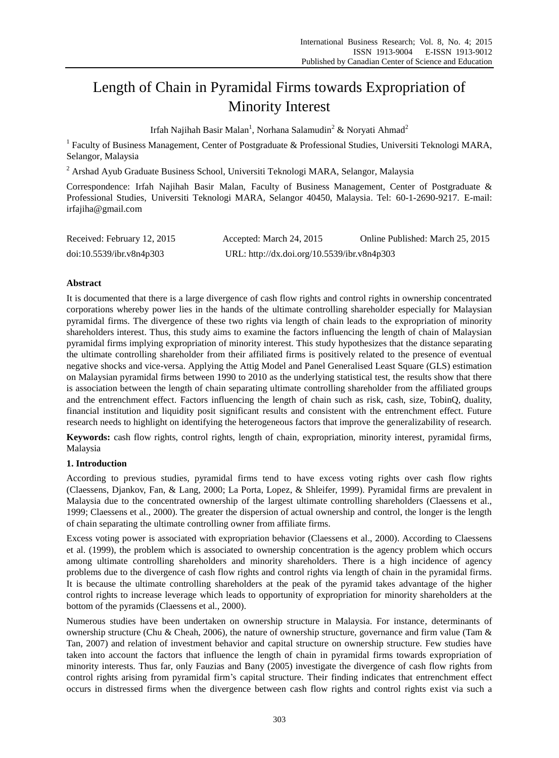# Length of Chain in Pyramidal Firms towards Expropriation of Minority Interest

Irfah Najihah Basir Malan<sup>1</sup>, Norhana Salamudin<sup>2</sup> & Noryati Ahmad<sup>2</sup>

<sup>1</sup> Faculty of Business Management, Center of Postgraduate & Professional Studies, Universiti Teknologi MARA, Selangor, Malaysia

<sup>2</sup> Arshad Ayub Graduate Business School, Universiti Teknologi MARA, Selangor, Malaysia

Correspondence: Irfah Najihah Basir Malan, Faculty of Business Management, Center of Postgraduate & Professional Studies, Universiti Teknologi MARA, Selangor 40450, Malaysia. Tel: 60-1-2690-9217. E-mail: irfajiha@gmail.com

| Received: February 12, 2015 | Accepted: March 24, 2015                    | Online Published: March 25, 2015 |
|-----------------------------|---------------------------------------------|----------------------------------|
| doi:10.5539/ibr.v8n4p303    | URL: http://dx.doi.org/10.5539/ibr.v8n4p303 |                                  |

# **Abstract**

It is documented that there is a large divergence of cash flow rights and control rights in ownership concentrated corporations whereby power lies in the hands of the ultimate controlling shareholder especially for Malaysian pyramidal firms. The divergence of these two rights via length of chain leads to the expropriation of minority shareholders interest. Thus, this study aims to examine the factors influencing the length of chain of Malaysian pyramidal firms implying expropriation of minority interest. This study hypothesizes that the distance separating the ultimate controlling shareholder from their affiliated firms is positively related to the presence of eventual negative shocks and vice-versa. Applying the Attig Model and Panel Generalised Least Square (GLS) estimation on Malaysian pyramidal firms between 1990 to 2010 as the underlying statistical test, the results show that there is association between the length of chain separating ultimate controlling shareholder from the affiliated groups and the entrenchment effect. Factors influencing the length of chain such as risk, cash, size, TobinQ, duality, financial institution and liquidity posit significant results and consistent with the entrenchment effect. Future research needs to highlight on identifying the heterogeneous factors that improve the generalizability of research.

**Keywords:** cash flow rights, control rights, length of chain, expropriation, minority interest, pyramidal firms, Malaysia

# **1. Introduction**

According to previous studies, pyramidal firms tend to have excess voting rights over cash flow rights (Claessens, Djankov, Fan, & Lang, 2000; La Porta, Lopez, & Shleifer, 1999). Pyramidal firms are prevalent in Malaysia due to the concentrated ownership of the largest ultimate controlling shareholders (Claessens et al., 1999; Claessens et al., 2000). The greater the dispersion of actual ownership and control, the longer is the length of chain separating the ultimate controlling owner from affiliate firms.

Excess voting power is associated with expropriation behavior (Claessens et al., 2000). According to Claessens et al. (1999), the problem which is associated to ownership concentration is the agency problem which occurs among ultimate controlling shareholders and minority shareholders. There is a high incidence of agency problems due to the divergence of cash flow rights and control rights via length of chain in the pyramidal firms. It is because the ultimate controlling shareholders at the peak of the pyramid takes advantage of the higher control rights to increase leverage which leads to opportunity of expropriation for minority shareholders at the bottom of the pyramids (Claessens et al., 2000).

Numerous studies have been undertaken on ownership structure in Malaysia. For instance, determinants of ownership structure (Chu & Cheah, 2006), the nature of ownership structure, governance and firm value (Tam & Tan, 2007) and relation of investment behavior and capital structure on ownership structure. Few studies have taken into account the factors that influence the length of chain in pyramidal firms towards expropriation of minority interests. Thus far, only Fauzias and Bany (2005) investigate the divergence of cash flow rights from control rights arising from pyramidal firm's capital structure. Their finding indicates that entrenchment effect occurs in distressed firms when the divergence between cash flow rights and control rights exist via such a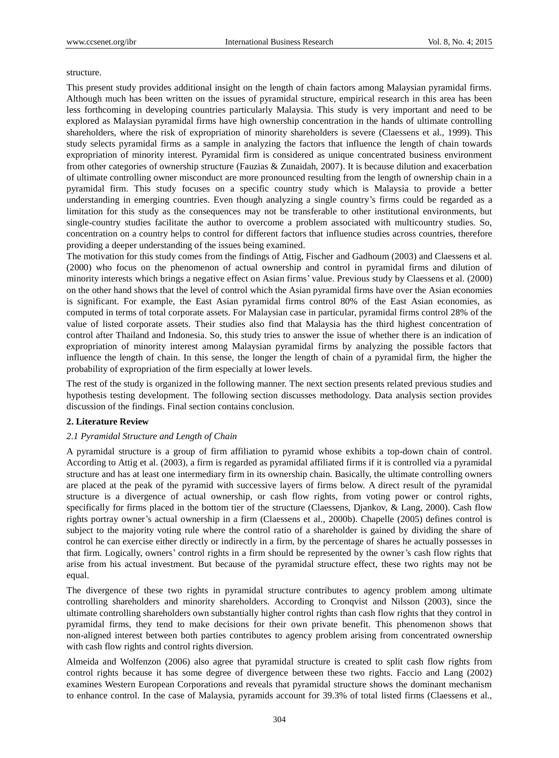#### structure.

This present study provides additional insight on the length of chain factors among Malaysian pyramidal firms. Although much has been written on the issues of pyramidal structure, empirical research in this area has been less forthcoming in developing countries particularly Malaysia. This study is very important and need to be explored as Malaysian pyramidal firms have high ownership concentration in the hands of ultimate controlling shareholders, where the risk of expropriation of minority shareholders is severe (Claessens et al., 1999). This study selects pyramidal firms as a sample in analyzing the factors that influence the length of chain towards expropriation of minority interest. Pyramidal firm is considered as unique concentrated business environment from other categories of ownership structure (Fauzias & Zunaidah, 2007). It is because dilution and exacerbation of ultimate controlling owner misconduct are more pronounced resulting from the length of ownership chain in a pyramidal firm. This study focuses on a specific country study which is Malaysia to provide a better understanding in emerging countries. Even though analyzing a single country's firms could be regarded as a limitation for this study as the consequences may not be transferable to other institutional environments, but single-country studies facilitate the author to overcome a problem associated with multicountry studies. So, concentration on a country helps to control for different factors that influence studies across countries, therefore providing a deeper understanding of the issues being examined.

The motivation for this study comes from the findings of Attig, Fischer and Gadhoum (2003) and Claessens et al. (2000) who focus on the phenomenon of actual ownership and control in pyramidal firms and dilution of minority interests which brings a negative effect on Asian firms' value. Previous study by Claessens et al. (2000) on the other hand shows that the level of control which the Asian pyramidal firms have over the Asian economies is significant. For example, the East Asian pyramidal firms control 80% of the East Asian economies, as computed in terms of total corporate assets. For Malaysian case in particular, pyramidal firms control 28% of the value of listed corporate assets. Their studies also find that Malaysia has the third highest concentration of control after Thailand and Indonesia. So, this study tries to answer the issue of whether there is an indication of expropriation of minority interest among Malaysian pyramidal firms by analyzing the possible factors that influence the length of chain. In this sense, the longer the length of chain of a pyramidal firm, the higher the probability of expropriation of the firm especially at lower levels.

The rest of the study is organized in the following manner. The next section presents related previous studies and hypothesis testing development. The following section discusses methodology. Data analysis section provides discussion of the findings. Final section contains conclusion.

## **2. Literature Review**

#### *2.1 Pyramidal Structure and Length of Chain*

A pyramidal structure is a group of firm affiliation to pyramid whose exhibits a top-down chain of control. According to Attig et al. (2003), a firm is regarded as pyramidal affiliated firms if it is controlled via a pyramidal structure and has at least one intermediary firm in its ownership chain. Basically, the ultimate controlling owners are placed at the peak of the pyramid with successive layers of firms below. A direct result of the pyramidal structure is a divergence of actual ownership, or cash flow rights, from voting power or control rights, specifically for firms placed in the bottom tier of the structure (Claessens, Diankov, & Lang, 2000). Cash flow rights portray owner's actual ownership in a firm (Claessens et al., 2000b). Chapelle (2005) defines control is subject to the majority voting rule where the control ratio of a shareholder is gained by dividing the share of control he can exercise either directly or indirectly in a firm, by the percentage of shares he actually possesses in that firm. Logically, owners' control rights in a firm should be represented by the owner's cash flow rights that arise from his actual investment. But because of the pyramidal structure effect, these two rights may not be equal.

The divergence of these two rights in pyramidal structure contributes to agency problem among ultimate controlling shareholders and minority shareholders. According to Cronqvist and Nilsson (2003), since the ultimate controlling shareholders own substantially higher control rights than cash flow rights that they control in pyramidal firms, they tend to make decisions for their own private benefit. This phenomenon shows that non-aligned interest between both parties contributes to agency problem arising from concentrated ownership with cash flow rights and control rights diversion.

Almeida and Wolfenzon (2006) also agree that pyramidal structure is created to split cash flow rights from control rights because it has some degree of divergence between these two rights. Faccio and Lang (2002) examines Western European Corporations and reveals that pyramidal structure shows the dominant mechanism to enhance control. In the case of Malaysia, pyramids account for 39.3% of total listed firms (Claessens et al.,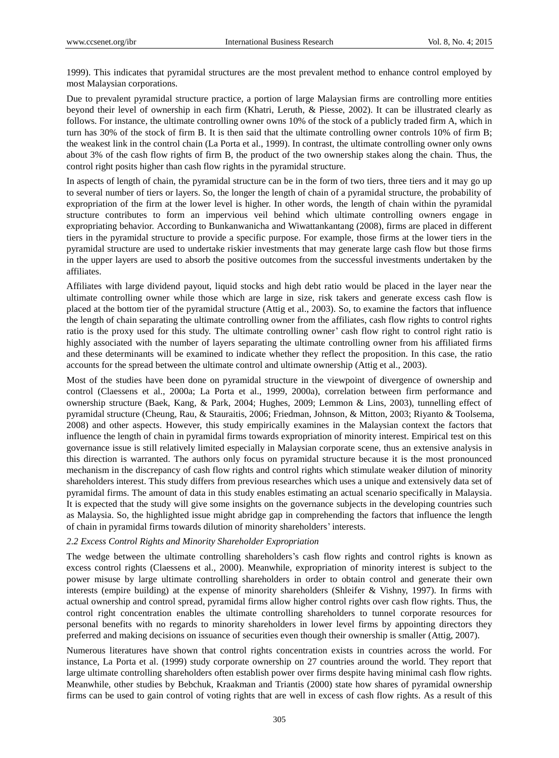1999). This indicates that pyramidal structures are the most prevalent method to enhance control employed by most Malaysian corporations.

Due to prevalent pyramidal structure practice, a portion of large Malaysian firms are controlling more entities beyond their level of ownership in each firm (Khatri, Leruth, & Piesse, 2002). It can be illustrated clearly as follows. For instance, the ultimate controlling owner owns 10% of the stock of a publicly traded firm A, which in turn has 30% of the stock of firm B. It is then said that the ultimate controlling owner controls 10% of firm B; the weakest link in the control chain (La Porta et al., 1999). In contrast, the ultimate controlling owner only owns about 3% of the cash flow rights of firm B, the product of the two ownership stakes along the chain. Thus, the control right posits higher than cash flow rights in the pyramidal structure.

In aspects of length of chain, the pyramidal structure can be in the form of two tiers, three tiers and it may go up to several number of tiers or layers. So, the longer the length of chain of a pyramidal structure, the probability of expropriation of the firm at the lower level is higher. In other words, the length of chain within the pyramidal structure contributes to form an impervious veil behind which ultimate controlling owners engage in expropriating behavior. According to Bunkanwanicha and Wiwattankantang (2008), firms are placed in different tiers in the pyramidal structure to provide a specific purpose. For example, those firms at the lower tiers in the pyramidal structure are used to undertake riskier investments that may generate large cash flow but those firms in the upper layers are used to absorb the positive outcomes from the successful investments undertaken by the affiliates.

Affiliates with large dividend payout, liquid stocks and high debt ratio would be placed in the layer near the ultimate controlling owner while those which are large in size, risk takers and generate excess cash flow is placed at the bottom tier of the pyramidal structure (Attig et al., 2003). So, to examine the factors that influence the length of chain separating the ultimate controlling owner from the affiliates, cash flow rights to control rights ratio is the proxy used for this study. The ultimate controlling owner' cash flow right to control right ratio is highly associated with the number of layers separating the ultimate controlling owner from his affiliated firms and these determinants will be examined to indicate whether they reflect the proposition. In this case, the ratio accounts for the spread between the ultimate control and ultimate ownership (Attig et al., 2003).

Most of the studies have been done on pyramidal structure in the viewpoint of divergence of ownership and control (Claessens et al., 2000a; La Porta et al., 1999, 2000a), correlation between firm performance and ownership structure (Baek, Kang, & Park, 2004; Hughes, 2009; Lemmon & Lins, 2003), tunnelling effect of pyramidal structure (Cheung, Rau, & Stauraitis, 2006; Friedman, Johnson, & Mitton, 2003; Riyanto & Toolsema, 2008) and other aspects. However, this study empirically examines in the Malaysian context the factors that influence the length of chain in pyramidal firms towards expropriation of minority interest. Empirical test on this governance issue is still relatively limited especially in Malaysian corporate scene, thus an extensive analysis in this direction is warranted. The authors only focus on pyramidal structure because it is the most pronounced mechanism in the discrepancy of cash flow rights and control rights which stimulate weaker dilution of minority shareholders interest. This study differs from previous researches which uses a unique and extensively data set of pyramidal firms. The amount of data in this study enables estimating an actual scenario specifically in Malaysia. It is expected that the study will give some insights on the governance subjects in the developing countries such as Malaysia. So, the highlighted issue might abridge gap in comprehending the factors that influence the length of chain in pyramidal firms towards dilution of minority shareholders' interests.

#### *2.2 Excess Control Rights and Minority Shareholder Expropriation*

The wedge between the ultimate controlling shareholders's cash flow rights and control rights is known as excess control rights (Claessens et al., 2000). Meanwhile, expropriation of minority interest is subject to the power misuse by large ultimate controlling shareholders in order to obtain control and generate their own interests (empire building) at the expense of minority shareholders (Shleifer & Vishny, 1997). In firms with actual ownership and control spread, pyramidal firms allow higher control rights over cash flow rights. Thus, the control right concentration enables the ultimate controlling shareholders to tunnel corporate resources for personal benefits with no regards to minority shareholders in lower level firms by appointing directors they preferred and making decisions on issuance of securities even though their ownership is smaller (Attig, 2007).

Numerous literatures have shown that control rights concentration exists in countries across the world. For instance, La Porta et al. (1999) study corporate ownership on 27 countries around the world. They report that large ultimate controlling shareholders often establish power over firms despite having minimal cash flow rights. Meanwhile, other studies by Bebchuk, Kraakman and Triantis (2000) state how shares of pyramidal ownership firms can be used to gain control of voting rights that are well in excess of cash flow rights. As a result of this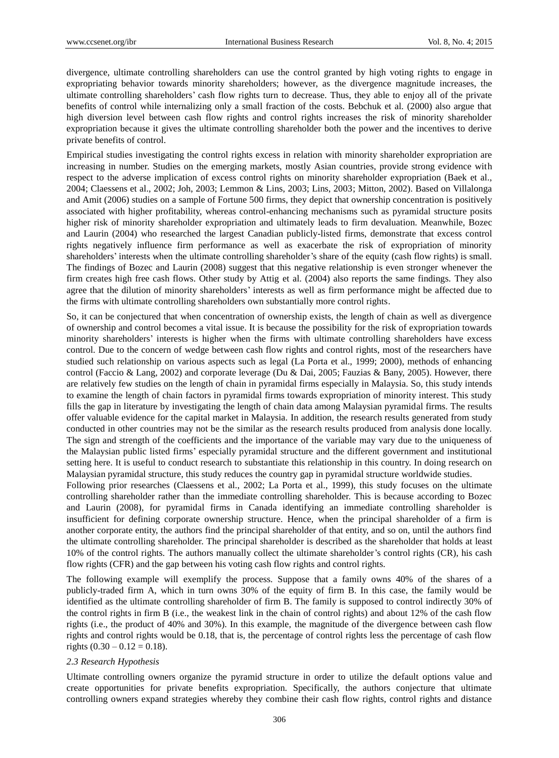divergence, ultimate controlling shareholders can use the control granted by high voting rights to engage in expropriating behavior towards minority shareholders; however, as the divergence magnitude increases, the ultimate controlling shareholders' cash flow rights turn to decrease. Thus, they able to enjoy all of the private benefits of control while internalizing only a small fraction of the costs. Bebchuk et al. (2000) also argue that high diversion level between cash flow rights and control rights increases the risk of minority shareholder expropriation because it gives the ultimate controlling shareholder both the power and the incentives to derive private benefits of control.

Empirical studies investigating the control rights excess in relation with minority shareholder expropriation are increasing in number. Studies on the emerging markets, mostly Asian countries, provide strong evidence with respect to the adverse implication of excess control rights on minority shareholder expropriation (Baek et al., 2004; Claessens et al., 2002; Joh, 2003; Lemmon & Lins, 2003; Lins, 2003; Mitton, 2002). Based on Villalonga and Amit (2006) studies on a sample of Fortune 500 firms, they depict that ownership concentration is positively associated with higher profitability, whereas control-enhancing mechanisms such as pyramidal structure posits higher risk of minority shareholder expropriation and ultimately leads to firm devaluation. Meanwhile, Bozec and Laurin (2004) who researched the largest Canadian publicly-listed firms, demonstrate that excess control rights negatively influence firm performance as well as exacerbate the risk of expropriation of minority shareholders' interests when the ultimate controlling shareholder's share of the equity (cash flow rights) is small. The findings of Bozec and Laurin (2008) suggest that this negative relationship is even stronger whenever the firm creates high free cash flows. Other study by Attig et al. (2004) also reports the same findings. They also agree that the dilution of minority shareholders' interests as well as firm performance might be affected due to the firms with ultimate controlling shareholders own substantially more control rights.

So, it can be conjectured that when concentration of ownership exists, the length of chain as well as divergence of ownership and control becomes a vital issue. It is because the possibility for the risk of expropriation towards minority shareholders' interests is higher when the firms with ultimate controlling shareholders have excess control. Due to the concern of wedge between cash flow rights and control rights, most of the researchers have studied such relationship on various aspects such as legal (La Porta et al., 1999; 2000), methods of enhancing control (Faccio & Lang, 2002) and corporate leverage (Du & Dai, 2005; Fauzias & Bany, 2005). However, there are relatively few studies on the length of chain in pyramidal firms especially in Malaysia. So, this study intends to examine the length of chain factors in pyramidal firms towards expropriation of minority interest. This study fills the gap in literature by investigating the length of chain data among Malaysian pyramidal firms. The results offer valuable evidence for the capital market in Malaysia. In addition, the research results generated from study conducted in other countries may not be the similar as the research results produced from analysis done locally. The sign and strength of the coefficients and the importance of the variable may vary due to the uniqueness of the Malaysian public listed firms' especially pyramidal structure and the different government and institutional setting here. It is useful to conduct research to substantiate this relationship in this country. In doing research on Malaysian pyramidal structure, this study reduces the country gap in pyramidal structure worldwide studies.

Following prior researches (Claessens et al., 2002; La Porta et al., 1999), this study focuses on the ultimate controlling shareholder rather than the immediate controlling shareholder. This is because according to Bozec and Laurin (2008), for pyramidal firms in Canada identifying an immediate controlling shareholder is insufficient for defining corporate ownership structure. Hence, when the principal shareholder of a firm is another corporate entity, the authors find the principal shareholder of that entity, and so on, until the authors find the ultimate controlling shareholder. The principal shareholder is described as the shareholder that holds at least 10% of the control rights. The authors manually collect the ultimate shareholder's control rights (CR), his cash flow rights (CFR) and the gap between his voting cash flow rights and control rights.

The following example will exemplify the process. Suppose that a family owns 40% of the shares of a publicly-traded firm A, which in turn owns 30% of the equity of firm B. In this case, the family would be identified as the ultimate controlling shareholder of firm B. The family is supposed to control indirectly 30% of the control rights in firm B (i.e., the weakest link in the chain of control rights) and about 12% of the cash flow rights (i.e., the product of 40% and 30%). In this example, the magnitude of the divergence between cash flow rights and control rights would be 0.18, that is, the percentage of control rights less the percentage of cash flow rights  $(0.30 - 0.12 = 0.18)$ .

#### *2.3 Research Hypothesis*

Ultimate controlling owners organize the pyramid structure in order to utilize the default options value and create opportunities for private benefits expropriation. Specifically, the authors conjecture that ultimate controlling owners expand strategies whereby they combine their cash flow rights, control rights and distance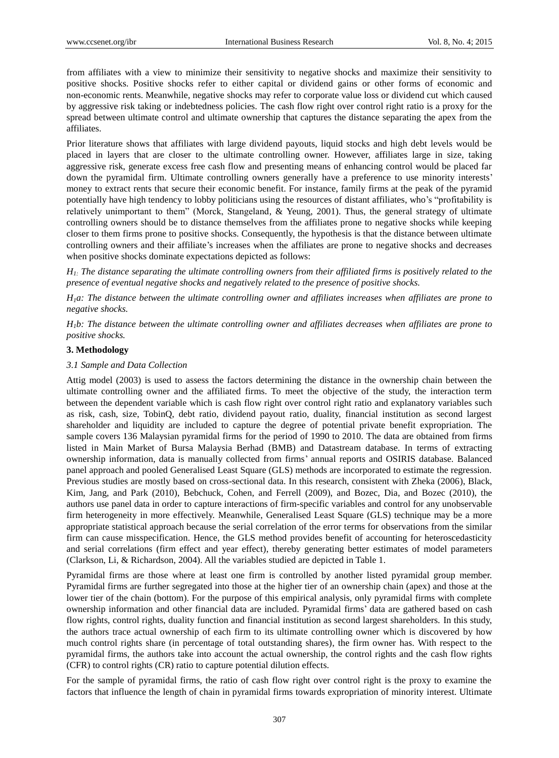from affiliates with a view to minimize their sensitivity to negative shocks and maximize their sensitivity to positive shocks. Positive shocks refer to either capital or dividend gains or other forms of economic and non-economic rents. Meanwhile, negative shocks may refer to corporate value loss or dividend cut which caused by aggressive risk taking or indebtedness policies. The cash flow right over control right ratio is a proxy for the spread between ultimate control and ultimate ownership that captures the distance separating the apex from the affiliates.

Prior literature shows that affiliates with large dividend payouts, liquid stocks and high debt levels would be placed in layers that are closer to the ultimate controlling owner. However, affiliates large in size, taking aggressive risk, generate excess free cash flow and presenting means of enhancing control would be placed far down the pyramidal firm. Ultimate controlling owners generally have a preference to use minority interests' money to extract rents that secure their economic benefit. For instance, family firms at the peak of the pyramid potentially have high tendency to lobby politicians using the resources of distant affiliates, who's "profitability is relatively unimportant to them" (Morck, Stangeland, & Yeung, 2001). Thus, the general strategy of ultimate controlling owners should be to distance themselves from the affiliates prone to negative shocks while keeping closer to them firms prone to positive shocks. Consequently, the hypothesis is that the distance between ultimate controlling owners and their affiliate's increases when the affiliates are prone to negative shocks and decreases when positive shocks dominate expectations depicted as follows:

 $H<sub>1</sub>$ . The distance separating the ultimate controlling owners from their affiliated firms is positively related to the *presence of eventual negative shocks and negatively related to the presence of positive shocks.*

*H1a: The distance between the ultimate controlling owner and affiliates increases when affiliates are prone to negative shocks.*

*H1b: The distance between the ultimate controlling owner and affiliates decreases when affiliates are prone to positive shocks.*

# **3. Methodology**

# *3.1 Sample and Data Collection*

Attig model (2003) is used to assess the factors determining the distance in the ownership chain between the ultimate controlling owner and the affiliated firms. To meet the objective of the study, the interaction term between the dependent variable which is cash flow right over control right ratio and explanatory variables such as risk, cash, size, TobinQ, debt ratio, dividend payout ratio, duality, financial institution as second largest shareholder and liquidity are included to capture the degree of potential private benefit expropriation. The sample covers 136 Malaysian pyramidal firms for the period of 1990 to 2010. The data are obtained from firms listed in Main Market of Bursa Malaysia Berhad (BMB) and Datastream database. In terms of extracting ownership information, data is manually collected from firms' annual reports and OSIRIS database. Balanced panel approach and pooled Generalised Least Square (GLS) methods are incorporated to estimate the regression. Previous studies are mostly based on cross-sectional data. In this research, consistent with Zheka (2006), Black, Kim, Jang, and Park (2010), Bebchuck, Cohen, and Ferrell (2009), and Bozec, Dia, and Bozec (2010), the authors use panel data in order to capture interactions of firm-specific variables and control for any unobservable firm heterogeneity in more effectively. Meanwhile, Generalised Least Square (GLS) technique may be a more appropriate statistical approach because the serial correlation of the error terms for observations from the similar firm can cause misspecification. Hence, the GLS method provides benefit of accounting for heteroscedasticity and serial correlations (firm effect and year effect), thereby generating better estimates of model parameters (Clarkson, Li, & Richardson, 2004). All the variables studied are depicted in Table 1.

Pyramidal firms are those where at least one firm is controlled by another listed pyramidal group member. Pyramidal firms are further segregated into those at the higher tier of an ownership chain (apex) and those at the lower tier of the chain (bottom). For the purpose of this empirical analysis, only pyramidal firms with complete ownership information and other financial data are included. Pyramidal firms' data are gathered based on cash flow rights, control rights, duality function and financial institution as second largest shareholders. In this study, the authors trace actual ownership of each firm to its ultimate controlling owner which is discovered by how much control rights share (in percentage of total outstanding shares), the firm owner has. With respect to the pyramidal firms, the authors take into account the actual ownership, the control rights and the cash flow rights (CFR) to control rights (CR) ratio to capture potential dilution effects.

For the sample of pyramidal firms, the ratio of cash flow right over control right is the proxy to examine the factors that influence the length of chain in pyramidal firms towards expropriation of minority interest. Ultimate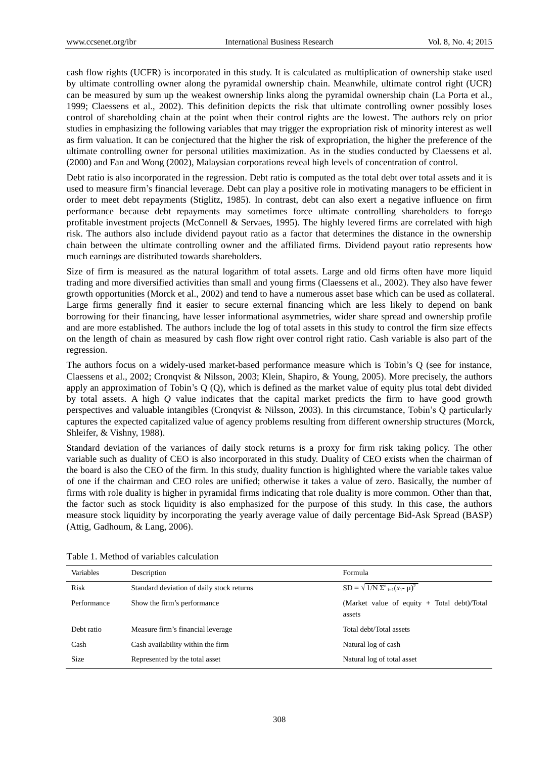cash flow rights (UCFR) is incorporated in this study. It is calculated as multiplication of ownership stake used by ultimate controlling owner along the pyramidal ownership chain. Meanwhile, ultimate control right (UCR) can be measured by sum up the weakest ownership links along the pyramidal ownership chain (La Porta et al., 1999; Claessens et al., 2002). This definition depicts the risk that ultimate controlling owner possibly loses control of shareholding chain at the point when their control rights are the lowest. The authors rely on prior studies in emphasizing the following variables that may trigger the expropriation risk of minority interest as well as firm valuation. It can be conjectured that the higher the risk of expropriation, the higher the preference of the ultimate controlling owner for personal utilities maximization. As in the studies conducted by Claessens et al. (2000) and Fan and Wong (2002), Malaysian corporations reveal high levels of concentration of control.

Debt ratio is also incorporated in the regression. Debt ratio is computed as the total debt over total assets and it is used to measure firm's financial leverage. Debt can play a positive role in motivating managers to be efficient in order to meet debt repayments (Stiglitz, 1985). In contrast, debt can also exert a negative influence on firm performance because debt repayments may sometimes force ultimate controlling shareholders to forego profitable investment projects (McConnell & Servaes, 1995). The highly levered firms are correlated with high risk. The authors also include dividend payout ratio as a factor that determines the distance in the ownership chain between the ultimate controlling owner and the affiliated firms. Dividend payout ratio represents how much earnings are distributed towards shareholders.

Size of firm is measured as the natural logarithm of total assets. Large and old firms often have more liquid trading and more diversified activities than small and young firms (Claessens et al., 2002). They also have fewer growth opportunities (Morck et al., 2002) and tend to have a numerous asset base which can be used as collateral. Large firms generally find it easier to secure external financing which are less likely to depend on bank borrowing for their financing, have lesser informational asymmetries, wider share spread and ownership profile and are more established. The authors include the log of total assets in this study to control the firm size effects on the length of chain as measured by cash flow right over control right ratio. Cash variable is also part of the regression.

The authors focus on a widely-used market-based performance measure which is Tobin's Q (see for instance, Claessens et al., 2002; Cronqvist & Nilsson, 2003; Klein, Shapiro, & Young, 2005). More precisely, the authors apply an approximation of Tobin's Q (Q)*,* which is defined as the market value of equity plus total debt divided by total assets. A high *Q* value indicates that the capital market predicts the firm to have good growth perspectives and valuable intangibles (Cronqvist & Nilsson, 2003). In this circumstance, Tobin's Q particularly captures the expected capitalized value of agency problems resulting from different ownership structures (Morck, Shleifer, & Vishny, 1988).

Standard deviation of the variances of daily stock returns is a proxy for firm risk taking policy. The other variable such as duality of CEO is also incorporated in this study. Duality of CEO exists when the chairman of the board is also the CEO of the firm. In this study, duality function is highlighted where the variable takes value of one if the chairman and CEO roles are unified; otherwise it takes a value of zero. Basically, the number of firms with role duality is higher in pyramidal firms indicating that role duality is more common. Other than that, the factor such as stock liquidity is also emphasized for the purpose of this study. In this case, the authors measure stock liquidity by incorporating the yearly average value of daily percentage Bid-Ask Spread (BASP) (Attig, Gadhoum, & Lang, 2006).

| Variables   | Description                               | Formula                                                 |
|-------------|-------------------------------------------|---------------------------------------------------------|
| Risk        | Standard deviation of daily stock returns | $SD = \sqrt{1/N} \sum_{i=1}^{n} (x_i - \mu)^2$          |
| Performance | Show the firm's performance               | (Market value of equity $+$ Total debt)/Total<br>assets |
| Debt ratio  | Measure firm's financial leverage         | Total debt/Total assets                                 |
| Cash        | Cash availability within the firm         | Natural log of cash                                     |
| <b>Size</b> | Represented by the total asset            | Natural log of total asset                              |

Table 1. Method of variables calculation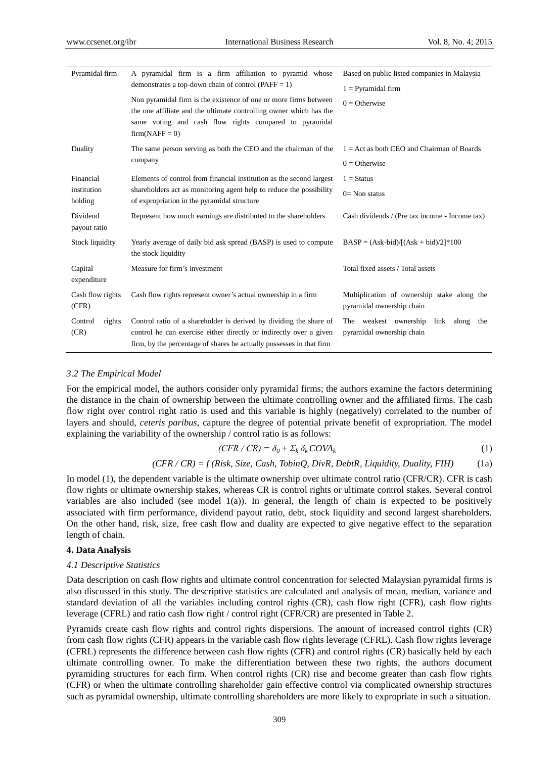| Pyramidal firm            | A pyramidal firm is a firm affiliation to pyramid whose                                                                                                                                                          | Based on public listed companies in Malaysia                             |  |  |  |  |  |  |  |
|---------------------------|------------------------------------------------------------------------------------------------------------------------------------------------------------------------------------------------------------------|--------------------------------------------------------------------------|--|--|--|--|--|--|--|
|                           | demonstrates a top-down chain of control (PAFF = 1)                                                                                                                                                              | $1 = Pyramidal firm$                                                     |  |  |  |  |  |  |  |
|                           | Non pyramidal firm is the existence of one or more firms between<br>the one affiliate and the ultimate controlling owner which has the                                                                           | $0 =$ Otherwise                                                          |  |  |  |  |  |  |  |
|                           | same voting and cash flow rights compared to pyramidal<br>$firm(NAFF = 0)$                                                                                                                                       |                                                                          |  |  |  |  |  |  |  |
| Duality                   | The same person serving as both the CEO and the chairman of the                                                                                                                                                  | $1 =$ Act as both CEO and Chairman of Boards                             |  |  |  |  |  |  |  |
|                           | company                                                                                                                                                                                                          | $0 =$ Otherwise                                                          |  |  |  |  |  |  |  |
| Financial                 | Elements of control from financial institution as the second largest                                                                                                                                             | $1 =$ Status                                                             |  |  |  |  |  |  |  |
| institution<br>holding    | shareholders act as monitoring agent help to reduce the possibility<br>of expropriation in the pyramidal structure                                                                                               | $0=$ Non status                                                          |  |  |  |  |  |  |  |
| Dividend<br>payout ratio  | Represent how much earnings are distributed to the shareholders                                                                                                                                                  | Cash dividends / (Pre tax income - Income tax)                           |  |  |  |  |  |  |  |
| Stock liquidity           | Yearly average of daily bid ask spread (BASP) is used to compute<br>the stock liquidity                                                                                                                          | $BASP = (Ask-bid)/[(Ask + bid)/2] * 100$                                 |  |  |  |  |  |  |  |
| Capital<br>expenditure    | Measure for firm's investment                                                                                                                                                                                    | Total fixed assets / Total assets                                        |  |  |  |  |  |  |  |
| Cash flow rights<br>(CFR) | Cash flow rights represent owner's actual ownership in a firm                                                                                                                                                    | Multiplication of ownership stake along the<br>pyramidal ownership chain |  |  |  |  |  |  |  |
| rights<br>Control<br>(CR) | Control ratio of a shareholder is derived by dividing the share of<br>control he can exercise either directly or indirectly over a given<br>firm, by the percentage of shares he actually possesses in that firm | The weakest ownership<br>link along<br>the<br>pyramidal ownership chain  |  |  |  |  |  |  |  |

### *3.2 The Empirical Model*

For the empirical model, the authors consider only pyramidal firms; the authors examine the factors determining the distance in the chain of ownership between the ultimate controlling owner and the affiliated firms. The cash flow right over control right ratio is used and this variable is highly (negatively) correlated to the number of layers and should, *ceteris paribus*, capture the degree of potential private benefit of expropriation. The model explaining the variability of the ownership / control ratio is as follows:

$$
(CFR / CR) = \delta_0 + \Sigma_k \, \delta_k \, COVA_k \tag{1}
$$

#### *(CFR / CR) = f (Risk, Size, Cash, TobinQ, DivR, DebtR, Liquidity, Duality, FIH)* (1a)

In model (1), the dependent variable is the ultimate ownership over ultimate control ratio (CFR/CR). CFR is cash flow rights or ultimate ownership stakes, whereas CR is control rights or ultimate control stakes. Several control variables are also included (see model  $1(a)$ ). In general, the length of chain is expected to be positively associated with firm performance, dividend payout ratio, debt, stock liquidity and second largest shareholders. On the other hand, risk, size, free cash flow and duality are expected to give negative effect to the separation length of chain.

#### **4. Data Analysis**

#### *4.1 Descriptive Statistics*

Data description on cash flow rights and ultimate control concentration for selected Malaysian pyramidal firms is also discussed in this study. The descriptive statistics are calculated and analysis of mean, median, variance and standard deviation of all the variables including control rights (CR), cash flow right (CFR), cash flow rights leverage (CFRL) and ratio cash flow right / control right (CFR/CR) are presented in Table 2.

Pyramids create cash flow rights and control rights dispersions. The amount of increased control rights (CR) from cash flow rights (CFR) appears in the variable cash flow rights leverage (CFRL). Cash flow rights leverage (CFRL) represents the difference between cash flow rights (CFR) and control rights (CR) basically held by each ultimate controlling owner. To make the differentiation between these two rights, the authors document pyramiding structures for each firm. When control rights (CR) rise and become greater than cash flow rights (CFR) or when the ultimate controlling shareholder gain effective control via complicated ownership structures such as pyramidal ownership, ultimate controlling shareholders are more likely to expropriate in such a situation.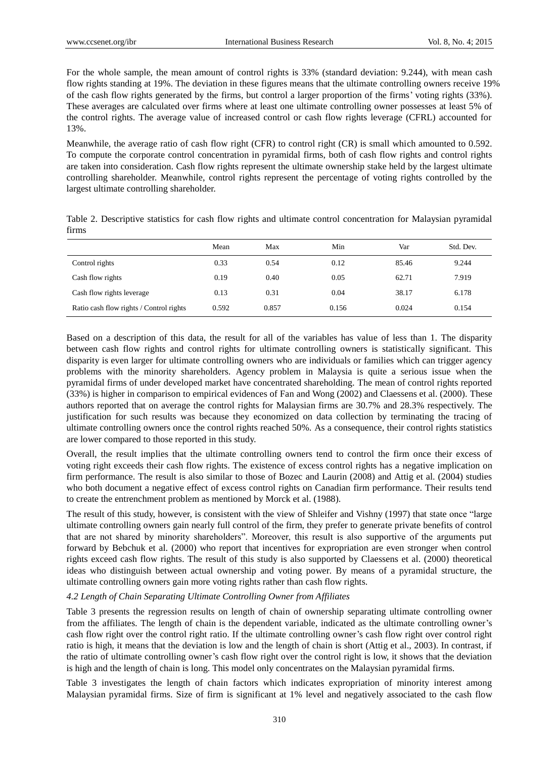For the whole sample, the mean amount of control rights is 33% (standard deviation: 9.244), with mean cash flow rights standing at 19%. The deviation in these figures means that the ultimate controlling owners receive 19% of the cash flow rights generated by the firms, but control a larger proportion of the firms' voting rights (33%). These averages are calculated over firms where at least one ultimate controlling owner possesses at least 5% of the control rights. The average value of increased control or cash flow rights leverage (CFRL) accounted for 13%.

Meanwhile, the average ratio of cash flow right (CFR) to control right (CR) is small which amounted to 0.592. To compute the corporate control concentration in pyramidal firms, both of cash flow rights and control rights are taken into consideration. Cash flow rights represent the ultimate ownership stake held by the largest ultimate controlling shareholder. Meanwhile, control rights represent the percentage of voting rights controlled by the largest ultimate controlling shareholder.

|                                         | Mean  | Max   | Min   | Var   | Std. Dev. |
|-----------------------------------------|-------|-------|-------|-------|-----------|
| Control rights                          | 0.33  | 0.54  | 0.12  | 85.46 | 9.244     |
| Cash flow rights                        | 0.19  | 0.40  | 0.05  | 62.71 | 7.919     |
| Cash flow rights leverage               | 0.13  | 0.31  | 0.04  | 38.17 | 6.178     |
| Ratio cash flow rights / Control rights | 0.592 | 0.857 | 0.156 | 0.024 | 0.154     |

Table 2. Descriptive statistics for cash flow rights and ultimate control concentration for Malaysian pyramidal firms

Based on a description of this data, the result for all of the variables has value of less than 1. The disparity between cash flow rights and control rights for ultimate controlling owners is statistically significant. This disparity is even larger for ultimate controlling owners who are individuals or families which can trigger agency problems with the minority shareholders. Agency problem in Malaysia is quite a serious issue when the pyramidal firms of under developed market have concentrated shareholding. The mean of control rights reported (33%) is higher in comparison to empirical evidences of Fan and Wong (2002) and Claessens et al. (2000). These authors reported that on average the control rights for Malaysian firms are 30.7% and 28.3% respectively. The justification for such results was because they economized on data collection by terminating the tracing of ultimate controlling owners once the control rights reached 50%. As a consequence, their control rights statistics are lower compared to those reported in this study.

Overall, the result implies that the ultimate controlling owners tend to control the firm once their excess of voting right exceeds their cash flow rights. The existence of excess control rights has a negative implication on firm performance. The result is also similar to those of Bozec and Laurin (2008) and Attig et al. (2004) studies who both document a negative effect of excess control rights on Canadian firm performance. Their results tend to create the entrenchment problem as mentioned by Morck et al. (1988).

The result of this study, however, is consistent with the view of Shleifer and Vishny (1997) that state once "large ultimate controlling owners gain nearly full control of the firm, they prefer to generate private benefits of control that are not shared by minority shareholders". Moreover, this result is also supportive of the arguments put forward by Bebchuk et al. (2000) who report that incentives for expropriation are even stronger when control rights exceed cash flow rights. The result of this study is also supported by Claessens et al. (2000) theoretical ideas who distinguish between actual ownership and voting power. By means of a pyramidal structure, the ultimate controlling owners gain more voting rights rather than cash flow rights.

# *4.2 Length of Chain Separating Ultimate Controlling Owner from Affiliates*

Table 3 presents the regression results on length of chain of ownership separating ultimate controlling owner from the affiliates. The length of chain is the dependent variable, indicated as the ultimate controlling owner's cash flow right over the control right ratio. If the ultimate controlling owner's cash flow right over control right ratio is high, it means that the deviation is low and the length of chain is short (Attig et al., 2003). In contrast, if the ratio of ultimate controlling owner's cash flow right over the control right is low, it shows that the deviation is high and the length of chain is long. This model only concentrates on the Malaysian pyramidal firms.

Table 3 investigates the length of chain factors which indicates expropriation of minority interest among Malaysian pyramidal firms. Size of firm is significant at 1% level and negatively associated to the cash flow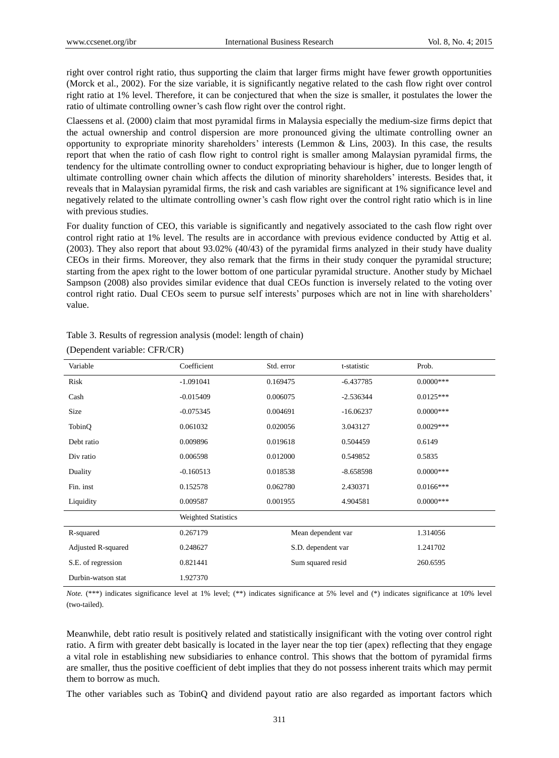right over control right ratio, thus supporting the claim that larger firms might have fewer growth opportunities (Morck et al., 2002). For the size variable, it is significantly negative related to the cash flow right over control right ratio at 1% level. Therefore, it can be conjectured that when the size is smaller, it postulates the lower the ratio of ultimate controlling owner's cash flow right over the control right.

Claessens et al. (2000) claim that most pyramidal firms in Malaysia especially the medium-size firms depict that the actual ownership and control dispersion are more pronounced giving the ultimate controlling owner an opportunity to expropriate minority shareholders' interests (Lemmon & Lins, 2003). In this case, the results report that when the ratio of cash flow right to control right is smaller among Malaysian pyramidal firms, the tendency for the ultimate controlling owner to conduct expropriating behaviour is higher, due to longer length of ultimate controlling owner chain which affects the dilution of minority shareholders' interests. Besides that, it reveals that in Malaysian pyramidal firms, the risk and cash variables are significant at 1% significance level and negatively related to the ultimate controlling owner's cash flow right over the control right ratio which is in line with previous studies.

For duality function of CEO, this variable is significantly and negatively associated to the cash flow right over control right ratio at 1% level. The results are in accordance with previous evidence conducted by Attig et al. (2003). They also report that about 93.02% (40/43) of the pyramidal firms analyzed in their study have duality CEOs in their firms. Moreover, they also remark that the firms in their study conquer the pyramidal structure; starting from the apex right to the lower bottom of one particular pyramidal structure. Another study by Michael Sampson (2008) also provides similar evidence that dual CEOs function is inversely related to the voting over control right ratio. Dual CEOs seem to pursue self interests' purposes which are not in line with shareholders' value.

| Variable           | Coefficient         | Std. error         | t-statistic | Prob.        |
|--------------------|---------------------|--------------------|-------------|--------------|
| Risk               | $-1.091041$         | 0.169475           | $-6.437785$ | $0.0000$ *** |
| Cash               | $-0.015409$         | 0.006075           | $-2.536344$ | $0.0125***$  |
| Size               | $-0.075345$         | 0.004691           | $-16.06237$ | $0.0000$ *** |
| TobinQ             | 0.061032            | 0.020056           | 3.043127    | $0.0029***$  |
| Debt ratio         | 0.009896            | 0.019618           | 0.504459    | 0.6149       |
| Div ratio          | 0.006598            | 0.012000           | 0.549852    | 0.5835       |
| Duality            | $-0.160513$         | 0.018538           | $-8.658598$ | $0.0000$ *** |
| Fin. inst          | 0.152578            | 0.062780           | 2.430371    | $0.0166***$  |
| Liquidity          | 0.009587            | 0.001955           | 4.904581    | $0.0000$ *** |
|                    | Weighted Statistics |                    |             |              |
| R-squared          | 0.267179            | Mean dependent var |             | 1.314056     |
| Adjusted R-squared | 0.248627            | S.D. dependent var |             | 1.241702     |
| S.E. of regression | 0.821441            | Sum squared resid  |             | 260.6595     |
| Durbin-watson stat | 1.927370            |                    |             |              |

Table 3. Results of regression analysis (model: length of chain)

(Dependent variable: CFR/CR)

|               |  |  |  |  | Note. (***) indicates significance level at 1% level; (**) indicates significance at 5% level and (*) indicates significance at 10% level |  |  |  |  |  |
|---------------|--|--|--|--|-------------------------------------------------------------------------------------------------------------------------------------------|--|--|--|--|--|
| (two-tailed). |  |  |  |  |                                                                                                                                           |  |  |  |  |  |

Meanwhile, debt ratio result is positively related and statistically insignificant with the voting over control right ratio. A firm with greater debt basically is located in the layer near the top tier (apex) reflecting that they engage a vital role in establishing new subsidiaries to enhance control. This shows that the bottom of pyramidal firms are smaller, thus the positive coefficient of debt implies that they do not possess inherent traits which may permit them to borrow as much.

The other variables such as TobinQ and dividend payout ratio are also regarded as important factors which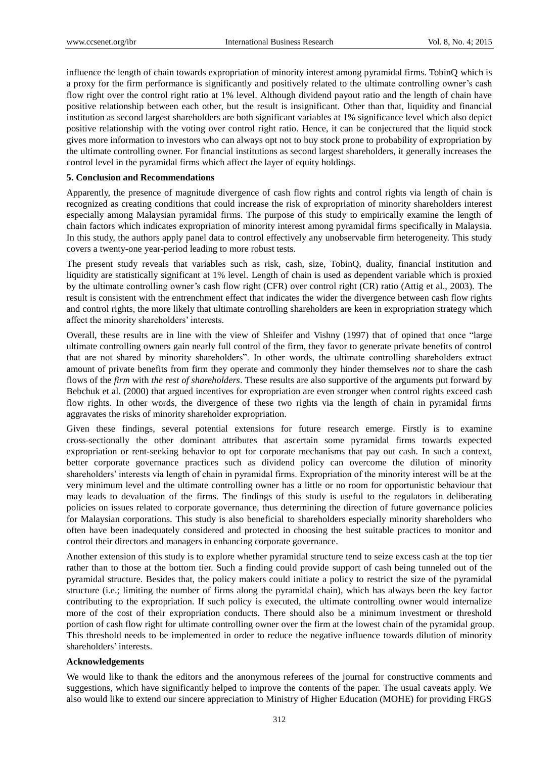influence the length of chain towards expropriation of minority interest among pyramidal firms. TobinQ which is a proxy for the firm performance is significantly and positively related to the ultimate controlling owner's cash flow right over the control right ratio at 1% level. Although dividend payout ratio and the length of chain have positive relationship between each other, but the result is insignificant. Other than that, liquidity and financial institution as second largest shareholders are both significant variables at 1% significance level which also depict positive relationship with the voting over control right ratio. Hence, it can be conjectured that the liquid stock gives more information to investors who can always opt not to buy stock prone to probability of expropriation by the ultimate controlling owner. For financial institutions as second largest shareholders, it generally increases the control level in the pyramidal firms which affect the layer of equity holdings.

#### **5. Conclusion and Recommendations**

Apparently, the presence of magnitude divergence of cash flow rights and control rights via length of chain is recognized as creating conditions that could increase the risk of expropriation of minority shareholders interest especially among Malaysian pyramidal firms. The purpose of this study to empirically examine the length of chain factors which indicates expropriation of minority interest among pyramidal firms specifically in Malaysia. In this study, the authors apply panel data to control effectively any unobservable firm heterogeneity. This study covers a twenty-one year-period leading to more robust tests.

The present study reveals that variables such as risk, cash, size, TobinQ, duality, financial institution and liquidity are statistically significant at 1% level. Length of chain is used as dependent variable which is proxied by the ultimate controlling owner's cash flow right (CFR) over control right (CR) ratio (Attig et al., 2003). The result is consistent with the entrenchment effect that indicates the wider the divergence between cash flow rights and control rights, the more likely that ultimate controlling shareholders are keen in expropriation strategy which affect the minority shareholders' interests.

Overall, these results are in line with the view of Shleifer and Vishny (1997) that of opined that once "large ultimate controlling owners gain nearly full control of the firm, they favor to generate private benefits of control that are not shared by minority shareholders". In other words, the ultimate controlling shareholders extract amount of private benefits from firm they operate and commonly they hinder themselves *not* to share the cash flows of the *firm* with *the rest of shareholders*. These results are also supportive of the arguments put forward by Bebchuk et al. (2000) that argued incentives for expropriation are even stronger when control rights exceed cash flow rights. In other words, the divergence of these two rights via the length of chain in pyramidal firms aggravates the risks of minority shareholder expropriation.

Given these findings, several potential extensions for future research emerge. Firstly is to examine cross-sectionally the other dominant attributes that ascertain some pyramidal firms towards expected expropriation or rent-seeking behavior to opt for corporate mechanisms that pay out cash. In such a context, better corporate governance practices such as dividend policy can overcome the dilution of minority shareholders' interests via length of chain in pyramidal firms. Expropriation of the minority interest will be at the very minimum level and the ultimate controlling owner has a little or no room for opportunistic behaviour that may leads to devaluation of the firms. The findings of this study is useful to the regulators in deliberating policies on issues related to corporate governance, thus determining the direction of future governance policies for Malaysian corporations. This study is also beneficial to shareholders especially minority shareholders who often have been inadequately considered and protected in choosing the best suitable practices to monitor and control their directors and managers in enhancing corporate governance.

Another extension of this study is to explore whether pyramidal structure tend to seize excess cash at the top tier rather than to those at the bottom tier. Such a finding could provide support of cash being tunneled out of the pyramidal structure. Besides that, the policy makers could initiate a policy to restrict the size of the pyramidal structure (i.e.; limiting the number of firms along the pyramidal chain), which has always been the key factor contributing to the expropriation. If such policy is executed, the ultimate controlling owner would internalize more of the cost of their expropriation conducts. There should also be a minimum investment or threshold portion of cash flow right for ultimate controlling owner over the firm at the lowest chain of the pyramidal group. This threshold needs to be implemented in order to reduce the negative influence towards dilution of minority shareholders' interests.

#### **Acknowledgements**

We would like to thank the editors and the anonymous referees of the journal for constructive comments and suggestions, which have significantly helped to improve the contents of the paper. The usual caveats apply. We also would like to extend our sincere appreciation to Ministry of Higher Education (MOHE) for providing FRGS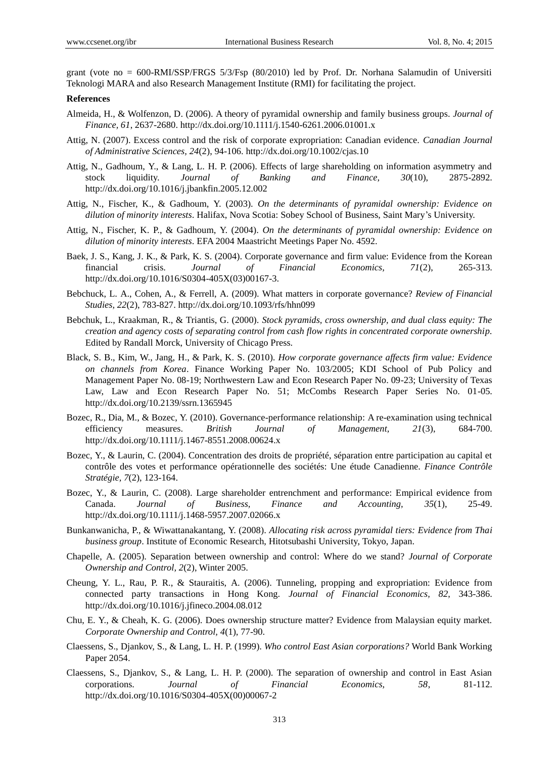grant (vote no = 600-RMI/SSP/FRGS 5/3/Fsp (80/2010) led by Prof. Dr. Norhana Salamudin of Universiti Teknologi MARA and also Research Management Institute (RMI) for facilitating the project.

### **References**

- Almeida, H., & Wolfenzon, D. (2006). A theory of pyramidal ownership and family business groups. *Journal of Finance, 61*, 2637-2680. http://dx.doi.org/10.1111/j.1540-6261.2006.01001.x
- Attig, N. (2007). Excess control and the risk of corporate expropriation: Canadian evidence. *Canadian Journal of Administrative Sciences, 24*(2), 94-106. http://dx.doi.org/10.1002/cjas.10
- Attig, N., Gadhoum, Y., & Lang, L. H. P. (2006). Effects of large shareholding on information asymmetry and stock liquidity. *Journal of Banking and Finance, 30*(10), 2875-2892. http://dx.doi.org/10.1016/j.jbankfin.2005.12.002
- Attig, N., Fischer, K., & Gadhoum, Y. (2003). *On the determinants of pyramidal ownership: Evidence on dilution of minority interests*. Halifax, Nova Scotia: Sobey School of Business, Saint Mary's University.
- Attig, N., Fischer, K. P., & Gadhoum, Y. (2004). *On the determinants of pyramidal ownership: Evidence on dilution of minority interests*. EFA 2004 Maastricht Meetings Paper No. 4592.
- Baek, J. S., Kang, J. K., & Park, K. S. (2004). Corporate governance and firm value: Evidence from the Korean financial crisis. *Journal of Financial Economics, 71*(2), 265-313. http://dx.doi.org/10.1016/S0304-405X(03)00167-3.
- Bebchuck, L. A., Cohen, A., & Ferrell, A. (2009). What matters in corporate governance? *Review of Financial Studies, 22*(2), 783-827. http://dx.doi.org/10.1093/rfs/hhn099
- Bebchuk, L., Kraakman, R., & Triantis, G. (2000). *Stock pyramids, cross ownership, and dual class equity: The creation and agency costs of separating control from cash flow rights in concentrated corporate ownership.* Edited by Randall Morck, University of Chicago Press.
- Black, S. B., Kim, W., Jang, H., & Park, K. S. (2010). *How corporate governance affects firm value: Evidence on channels from Korea*. Finance Working Paper No. 103/2005; KDI School of Pub Policy and Management Paper No. 08-19; Northwestern Law and Econ Research Paper No. 09-23; University of Texas Law, Law and Econ Research Paper No. 51; McCombs Research Paper Series No. 01-05. http://dx.doi.org/10.2139/ssrn.1365945
- Bozec, R., Dia, M., & Bozec, Y. (2010). Governance-performance relationship: A re-examination using technical efficiency measures. *British Journal of Management, 21*(3), 684-700. http://dx.doi.org/10.1111/j.1467-8551.2008.00624.x
- Bozec, Y., & Laurin, C. (2004). Concentration des droits de propriété séparation entre participation au capital et contrôle des votes et performance opérationnelle des sociétés: Une étude Canadienne. *Finance Contrôle Stratégie, 7*(2), 123-164.
- Bozec, Y., & Laurin, C. (2008). Large shareholder entrenchment and performance: Empirical evidence from Canada. *Journal of Business, Finance and Accounting, 35*(1), 25-49. http://dx.doi.org/10.1111/j.1468-5957.2007.02066.x
- Bunkanwanicha, P., & Wiwattanakantang, Y. (2008). *Allocating risk across pyramidal tiers: Evidence from Thai business group*. Institute of Economic Research, Hitotsubashi University, Tokyo, Japan.
- Chapelle, A. (2005). Separation between ownership and control: Where do we stand? *Journal of Corporate Ownership and Control, 2*(2), Winter 2005.
- Cheung, Y. L., Rau, P. R., & Stauraitis, A. (2006). Tunneling, propping and expropriation: Evidence from connected party transactions in Hong Kong. *Journal of Financial Economics, 82*, 343-386. http://dx.doi.org/10.1016/j.jfineco.2004.08.012
- Chu, E. Y., & Cheah, K. G. (2006). Does ownership structure matter? Evidence from Malaysian equity market. *Corporate Ownership and Control, 4*(1), 77-90.
- Claessens, S., Djankov, S., & Lang, L. H. P. (1999). *Who control East Asian corporations?* World Bank Working Paper 2054.
- Claessens, S., Djankov, S., & Lang, L. H. P. (2000). The separation of ownership and control in East Asian corporations. *Journal of Financial Economics, 58*, 81-112. http://dx.doi.org/10.1016/S0304-405X(00)00067-2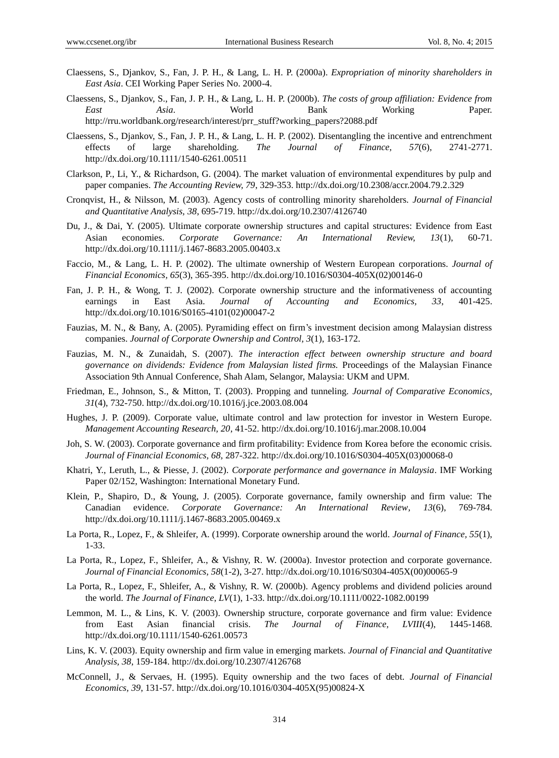- Claessens, S., Djankov, S., Fan, J. P. H., & Lang, L. H. P. (2000a). *Expropriation of minority shareholders in East Asia*. CEI Working Paper Series No. 2000-4.
- Claessens, S., Djankov, S., Fan, J. P. H., & Lang, L. H. P. (2000b). *The costs of group affiliation: Evidence from East Asia*. World Bank Working Paper. http://rru.worldbank.org/research/interest/prr\_stuff?working\_papers?2088.pdf
- Claessens, S., Djankov, S., Fan, J. P. H., & Lang, L. H. P. (2002). Disentangling the incentive and entrenchment effects of large shareholding. *The Journal of Finance, 57*(6), 2741-2771. http://dx.doi.org/10.1111/1540-6261.00511
- Clarkson, P., Li, Y., & Richardson, G. (2004). The market valuation of environmental expenditures by pulp and paper companies. *The Accounting Review, 79*, 329-353. http://dx.doi.org/10.2308/accr.2004.79.2.329
- Cronqvist, H., & Nilsson, M. (2003). Agency costs of controlling minority shareholders. *Journal of Financial and Quantitative Analysis, 38*, 695-719. http://dx.doi.org/10.2307/4126740
- Du, J., & Dai, Y. (2005). Ultimate corporate ownership structures and capital structures: Evidence from East Asian economies. *Corporate Governance: An International Review, 13*(1), 60-71. http://dx.doi.org/10.1111/j.1467-8683.2005.00403.x
- Faccio, M., & Lang, L. H. P. (2002). The ultimate ownership of Western European corporations. *Journal of Financial Economics, 65*(3), 365-395. http://dx.doi.org/10.1016/S0304-405X(02)00146-0
- Fan, J. P. H., & Wong, T. J. (2002). Corporate ownership structure and the informativeness of accounting earnings in East Asia. *Journal of Accounting and Economics, 33*, 401-425. http://dx.doi.org/10.1016/S0165-4101(02)00047-2
- Fauzias, M. N., & Bany, A. (2005). Pyramiding effect on firm's investment decision among Malaysian distress companies. *Journal of Corporate Ownership and Control, 3*(1), 163-172.
- Fauzias, M. N., & Zunaidah, S. (2007). *The interaction effect between ownership structure and board governance on dividends: Evidence from Malaysian listed firms.* Proceedings of the Malaysian Finance Association 9th Annual Conference, Shah Alam, Selangor, Malaysia: UKM and UPM.
- Friedman, E., Johnson, S., & Mitton, T. (2003). Propping and tunneling. *Journal of Comparative Economics, 31*(4), 732-750. http://dx.doi.org/10.1016/j.jce.2003.08.004
- Hughes, J. P. (2009). Corporate value, ultimate control and law protection for investor in Western Europe. *Management Accounting Research, 20*, 41-52. http://dx.doi.org/10.1016/j.mar.2008.10.004
- Joh, S. W. (2003). Corporate governance and firm profitability: Evidence from Korea before the economic crisis. *Journal of Financial Economics, 68*, 287-322. http://dx.doi.org/10.1016/S0304-405X(03)00068-0
- Khatri, Y., Leruth, L., & Piesse, J. (2002). *Corporate performance and governance in Malaysia*. IMF Working Paper 02/152, Washington: International Monetary Fund.
- Klein, P., Shapiro, D., & Young, J. (2005). Corporate governance, family ownership and firm value: The Canadian evidence. *Corporate Governance: An International Review, 13*(6), 769-784. http://dx.doi.org/10.1111/j.1467-8683.2005.00469.x
- La Porta, R., Lopez, F., & Shleifer, A. (1999). Corporate ownership around the world. *Journal of Finance, 55*(1), 1-33.
- La Porta, R., Lopez, F., Shleifer, A., & Vishny, R. W. (2000a). Investor protection and corporate governance. *Journal of Financial Economics, 58*(1-2), 3-27. http://dx.doi.org/10.1016/S0304-405X(00)00065-9
- La Porta, R., Lopez, F., Shleifer, A., & Vishny, R. W. (2000b). Agency problems and dividend policies around the world. *The Journal of Finance, LV*(1), 1-33. http://dx.doi.org/10.1111/0022-1082.00199
- Lemmon, M. L., & Lins, K. V. (2003). Ownership structure, corporate governance and firm value: Evidence from East Asian financial crisis. *The Journal of Finance, LVIII*(4), 1445-1468. http://dx.doi.org/10.1111/1540-6261.00573
- Lins, K. V. (2003). Equity ownership and firm value in emerging markets. *Journal of Financial and Quantitative Analysis, 38*, 159-184. http://dx.doi.org/10.2307/4126768
- McConnell, J., & Servaes, H. (1995). Equity ownership and the two faces of debt. *Journal of Financial Economics, 39*, 131-57. http://dx.doi.org/10.1016/0304-405X(95)00824-X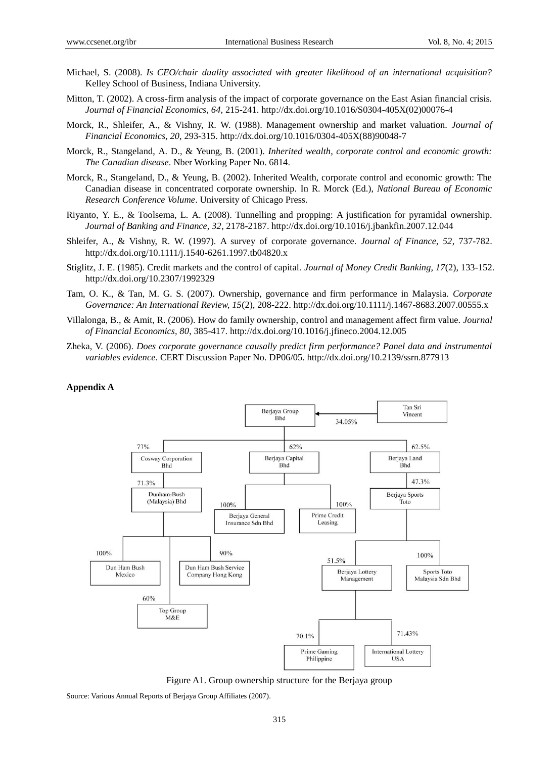- Michael, S. (2008). *Is CEO/chair duality associated with greater likelihood of an international acquisition?* Kelley School of Business, Indiana University.
- Mitton, T. (2002). A cross-firm analysis of the impact of corporate governance on the East Asian financial crisis. *Journal of Financial Economics, 64*, 215-241. http://dx.doi.org/10.1016/S0304-405X(02)00076-4
- Morck, R., Shleifer, A., & Vishny, R. W. (1988). Management ownership and market valuation. *Journal of Financial Economics, 20*, 293-315. http://dx.doi.org/10.1016/0304-405X(88)90048-7
- Morck, R., Stangeland, A. D., & Yeung, B. (2001). *Inherited wealth, corporate control and economic growth: The Canadian disease*. Nber Working Paper No. 6814.
- Morck, R., Stangeland, D., & Yeung, B. (2002). Inherited Wealth, corporate control and economic growth: The Canadian disease in concentrated corporate ownership. In R. Morck (Ed.), *National Bureau of Economic Research Conference Volume*. University of Chicago Press.
- Riyanto, Y. E., & Toolsema, L. A. (2008). Tunnelling and propping: A justification for pyramidal ownership. *Journal of Banking and Finance, 32*, 2178-2187. http://dx.doi.org/10.1016/j.jbankfin.2007.12.044
- Shleifer, A., & Vishny, R. W. (1997). A survey of corporate governance. *Journal of Finance, 52*, 737-782. http://dx.doi.org/10.1111/j.1540-6261.1997.tb04820.x
- Stiglitz, J. E. (1985). Credit markets and the control of capital. *Journal of Money Credit Banking, 17*(2), 133-152. http://dx.doi.org/10.2307/1992329
- Tam, O. K., & Tan, M. G. S. (2007). Ownership, governance and firm performance in Malaysia. *Corporate Governance: An International Review, 15*(2), 208-222. http://dx.doi.org/10.1111/j.1467-8683.2007.00555.x
- Villalonga, B., & Amit, R. (2006). How do family ownership, control and management affect firm value. *Journal of Financial Economics, 80*, 385-417. http://dx.doi.org/10.1016/j.jfineco.2004.12.005
- Zheka, V. (2006). *Does corporate governance causally predict firm performance? Panel data and instrumental variables evidence*. CERT Discussion Paper No. DP06/05. http://dx.doi.org/10.2139/ssrn.877913

#### **Appendix A**



Figure A1. Group ownership structure for the Berjaya group

Source: Various Annual Reports of Berjaya Group Affiliates (2007).